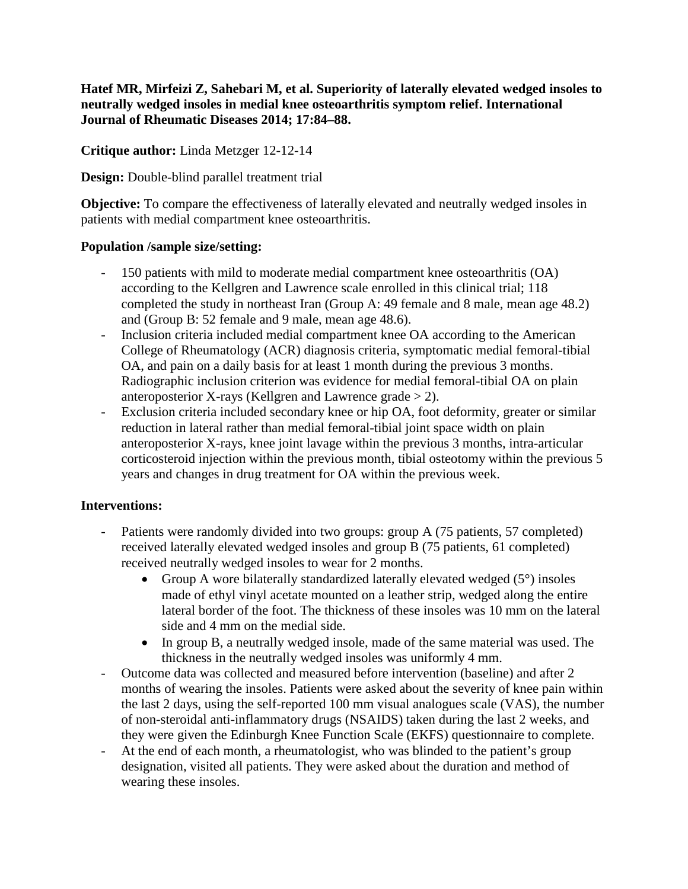**Hatef MR, Mirfeizi Z, Sahebari M, et al. Superiority of laterally elevated wedged insoles to neutrally wedged insoles in medial knee osteoarthritis symptom relief. International Journal of Rheumatic Diseases 2014; 17:84–88.**

**Critique author:** Linda Metzger 12-12-14

**Design:** Double-blind parallel treatment trial

**Objective:** To compare the effectiveness of laterally elevated and neutrally wedged insoles in patients with medial compartment knee osteoarthritis.

### **Population /sample size/setting:**

- 150 patients with mild to moderate medial compartment knee osteoarthritis (OA) according to the Kellgren and Lawrence scale enrolled in this clinical trial; 118 completed the study in northeast Iran (Group A: 49 female and 8 male, mean age 48.2) and (Group B: 52 female and 9 male, mean age 48.6).
- Inclusion criteria included medial compartment knee OA according to the American College of Rheumatology (ACR) diagnosis criteria, symptomatic medial femoral-tibial OA, and pain on a daily basis for at least 1 month during the previous 3 months. Radiographic inclusion criterion was evidence for medial femoral-tibial OA on plain anteroposterior X-rays (Kellgren and Lawrence grade  $> 2$ ).
- Exclusion criteria included secondary knee or hip OA, foot deformity, greater or similar reduction in lateral rather than medial femoral-tibial joint space width on plain anteroposterior X-rays, knee joint lavage within the previous 3 months, intra-articular corticosteroid injection within the previous month, tibial osteotomy within the previous 5 years and changes in drug treatment for OA within the previous week.

# **Interventions:**

- Patients were randomly divided into two groups: group A (75 patients, 57 completed) received laterally elevated wedged insoles and group B (75 patients, 61 completed) received neutrally wedged insoles to wear for 2 months.
	- Group A wore bilaterally standardized laterally elevated wedged  $(5^{\circ})$  insoles made of ethyl vinyl acetate mounted on a leather strip, wedged along the entire lateral border of the foot. The thickness of these insoles was 10 mm on the lateral side and 4 mm on the medial side.
	- In group B, a neutrally wedged insole, made of the same material was used. The thickness in the neutrally wedged insoles was uniformly 4 mm.
- Outcome data was collected and measured before intervention (baseline) and after 2 months of wearing the insoles. Patients were asked about the severity of knee pain within the last 2 days, using the self-reported 100 mm visual analogues scale (VAS), the number of non-steroidal anti-inflammatory drugs (NSAIDS) taken during the last 2 weeks, and they were given the Edinburgh Knee Function Scale (EKFS) questionnaire to complete.
- At the end of each month, a rheumatologist, who was blinded to the patient's group designation, visited all patients. They were asked about the duration and method of wearing these insoles.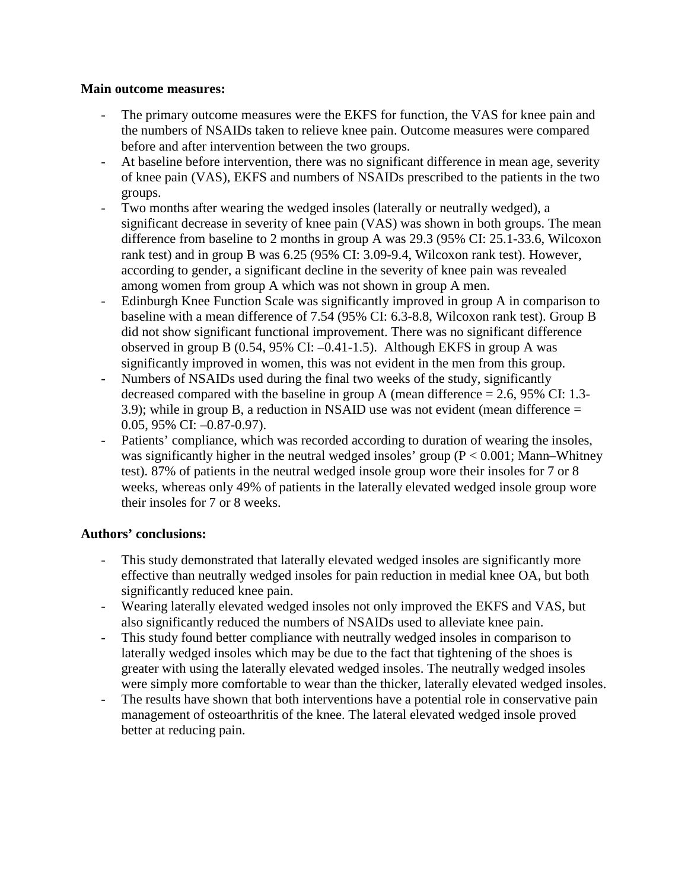#### **Main outcome measures:**

- The primary outcome measures were the EKFS for function, the VAS for knee pain and the numbers of NSAIDs taken to relieve knee pain. Outcome measures were compared before and after intervention between the two groups.
- At baseline before intervention, there was no significant difference in mean age, severity of knee pain (VAS), EKFS and numbers of NSAIDs prescribed to the patients in the two groups.
- Two months after wearing the wedged insoles (laterally or neutrally wedged), a significant decrease in severity of knee pain (VAS) was shown in both groups. The mean difference from baseline to 2 months in group A was 29.3 (95% CI: 25.1-33.6, Wilcoxon rank test) and in group B was 6.25 (95% CI: 3.09-9.4, Wilcoxon rank test). However, according to gender, a significant decline in the severity of knee pain was revealed among women from group A which was not shown in group A men.
- Edinburgh Knee Function Scale was significantly improved in group A in comparison to baseline with a mean difference of 7.54 (95% CI: 6.3-8.8, Wilcoxon rank test). Group B did not show significant functional improvement. There was no significant difference observed in group B (0.54, 95% CI: –0.41-1.5). Although EKFS in group A was significantly improved in women, this was not evident in the men from this group.
- Numbers of NSAIDs used during the final two weeks of the study, significantly decreased compared with the baseline in group A (mean difference  $= 2.6, 95\%$  CI: 1.3-3.9); while in group B, a reduction in NSAID use was not evident (mean difference = 0.05, 95% CI: –0.87-0.97).
- Patients' compliance, which was recorded according to duration of wearing the insoles, was significantly higher in the neutral wedged insoles' group ( $P < 0.001$ ; Mann–Whitney test). 87% of patients in the neutral wedged insole group wore their insoles for 7 or 8 weeks, whereas only 49% of patients in the laterally elevated wedged insole group wore their insoles for 7 or 8 weeks.

### **Authors' conclusions:**

- This study demonstrated that laterally elevated wedged insoles are significantly more effective than neutrally wedged insoles for pain reduction in medial knee OA, but both significantly reduced knee pain.
- Wearing laterally elevated wedged insoles not only improved the EKFS and VAS, but also significantly reduced the numbers of NSAIDs used to alleviate knee pain.
- This study found better compliance with neutrally wedged insoles in comparison to laterally wedged insoles which may be due to the fact that tightening of the shoes is greater with using the laterally elevated wedged insoles. The neutrally wedged insoles were simply more comfortable to wear than the thicker, laterally elevated wedged insoles.
- The results have shown that both interventions have a potential role in conservative pain management of osteoarthritis of the knee. The lateral elevated wedged insole proved better at reducing pain.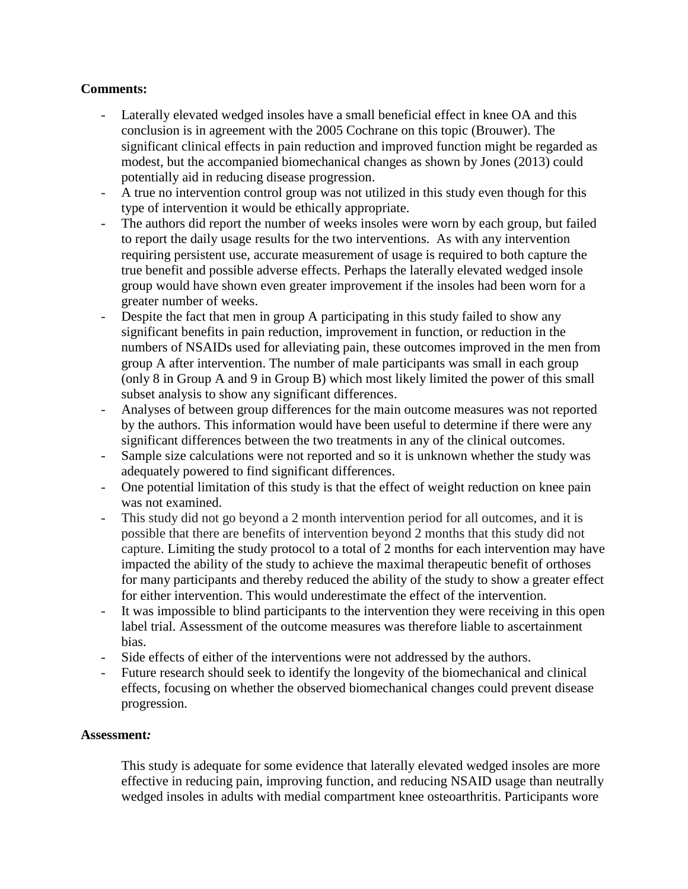## **Comments:**

- Laterally elevated wedged insoles have a small beneficial effect in knee OA and this conclusion is in agreement with the 2005 Cochrane on this topic (Brouwer). The significant clinical effects in pain reduction and improved function might be regarded as modest, but the accompanied biomechanical changes as shown by Jones (2013) could potentially aid in reducing disease progression.
- A true no intervention control group was not utilized in this study even though for this type of intervention it would be ethically appropriate.
- The authors did report the number of weeks insoles were worn by each group, but failed to report the daily usage results for the two interventions. As with any intervention requiring persistent use, accurate measurement of usage is required to both capture the true benefit and possible adverse effects. Perhaps the laterally elevated wedged insole group would have shown even greater improvement if the insoles had been worn for a greater number of weeks.
- Despite the fact that men in group A participating in this study failed to show any significant benefits in pain reduction, improvement in function, or reduction in the numbers of NSAIDs used for alleviating pain, these outcomes improved in the men from group A after intervention. The number of male participants was small in each group (only 8 in Group A and 9 in Group B) which most likely limited the power of this small subset analysis to show any significant differences.
- Analyses of between group differences for the main outcome measures was not reported by the authors. This information would have been useful to determine if there were any significant differences between the two treatments in any of the clinical outcomes.
- Sample size calculations were not reported and so it is unknown whether the study was adequately powered to find significant differences.
- One potential limitation of this study is that the effect of weight reduction on knee pain was not examined.
- This study did not go beyond a 2 month intervention period for all outcomes, and it is possible that there are benefits of intervention beyond 2 months that this study did not capture. Limiting the study protocol to a total of 2 months for each intervention may have impacted the ability of the study to achieve the maximal therapeutic benefit of orthoses for many participants and thereby reduced the ability of the study to show a greater effect for either intervention. This would underestimate the effect of the intervention.
- It was impossible to blind participants to the intervention they were receiving in this open label trial. Assessment of the outcome measures was therefore liable to ascertainment bias.
- Side effects of either of the interventions were not addressed by the authors.
- Future research should seek to identify the longevity of the biomechanical and clinical effects, focusing on whether the observed biomechanical changes could prevent disease progression.

### **Assessment***:*

This study is adequate for some evidence that laterally elevated wedged insoles are more effective in reducing pain, improving function, and reducing NSAID usage than neutrally wedged insoles in adults with medial compartment knee osteoarthritis. Participants wore